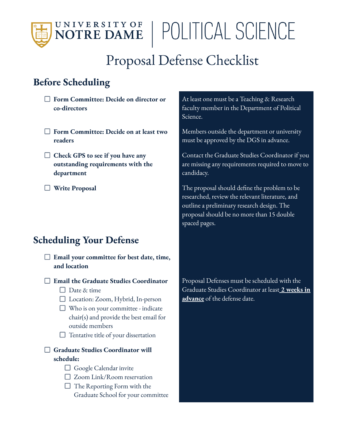

## | POLITICAL SCIENCE

### Proposal Defense Checklist

#### **Before Scheduling**

- **Form Committee: Decide on director or co-directors**
- **Form Committee: Decide on at least two readers**
- **Check GPS to see if you have any outstanding requirements with the department**
- 

#### **Scheduling Your Defense**

- **Email your committee for best date, time, and location**
- **Email the Graduate Studies Coordinator**
	- $\Box$  Date & time
	- Location: Zoom, Hybrid, In-person
	- $\Box$  Who is on your committee indicate chair(s) and provide the best email for outside members
	- $\Box$  Tentative title of your dissertation

#### **Graduate Studies Coordinator will schedule:**

- Google Calendar invite
- □ Zoom Link/Room reservation
- $\Box$  The Reporting Form with the Graduate School for your committee

At least one must be a Teaching & Research faculty member in the Department of Political Science.

Members outside the department or university must be approved by the DGS in advance.

Contact the Graduate Studies Coordinator if you are missing any requirements required to move to candidacy.

**Write Proposal** The proposal should define the problem to be researched, review the relevant literature, and outline a preliminary research design. The proposal should be no more than 15 double spaced pages.

> Proposal Defenses must be scheduled with the Graduate Studies Coordinator at least **2 weeks in advance** of the defense date.